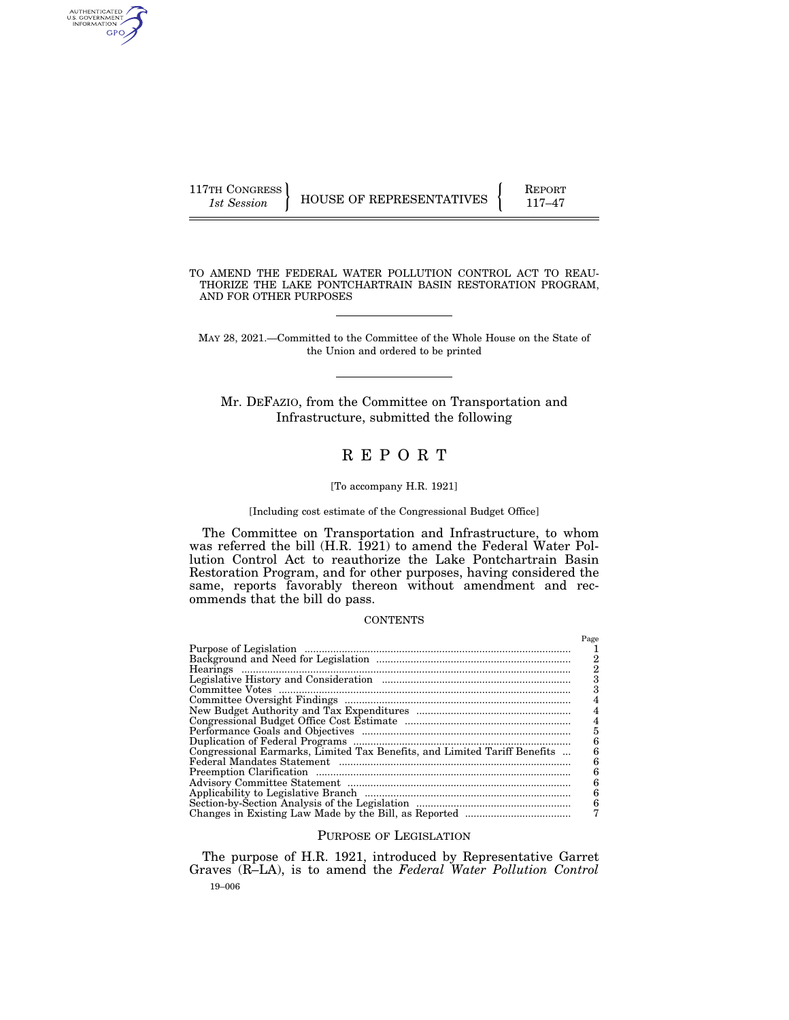| 117TH CONGRESS |                          | <b>REPORT</b> |
|----------------|--------------------------|---------------|
| 1st Session    | HOUSE OF REPRESENTATIVES |               |

AUTHENTICATED<br>U.S. GOVERNMENT<br>INFORMATION GPO

> TO AMEND THE FEDERAL WATER POLLUTION CONTROL ACT TO REAU-THORIZE THE LAKE PONTCHARTRAIN BASIN RESTORATION PROGRAM, AND FOR OTHER PURPOSES

MAY 28, 2021.—Committed to the Committee of the Whole House on the State of the Union and ordered to be printed

Mr. DEFAZIO, from the Committee on Transportation and Infrastructure, submitted the following

# R E P O R T

#### [To accompany H.R. 1921]

[Including cost estimate of the Congressional Budget Office]

The Committee on Transportation and Infrastructure, to whom was referred the bill (H.R. 1921) to amend the Federal Water Pollution Control Act to reauthorize the Lake Pontchartrain Basin Restoration Program, and for other purposes, having considered the same, reports favorably thereon without amendment and recommends that the bill do pass.

## **CONTENTS**

|                                                                           | Page<br>2<br>З |
|---------------------------------------------------------------------------|----------------|
|                                                                           |                |
|                                                                           |                |
|                                                                           |                |
|                                                                           |                |
|                                                                           | 5              |
|                                                                           | 6              |
| Congressional Earmarks, Limited Tax Benefits, and Limited Tariff Benefits | հ              |
|                                                                           | 6              |
|                                                                           | 6              |
|                                                                           | 6              |
|                                                                           | 6              |
|                                                                           | 6              |
|                                                                           |                |

# PURPOSE OF LEGISLATION

19–006 The purpose of H.R. 1921, introduced by Representative Garret Graves (R–LA), is to amend the *Federal Water Pollution Control*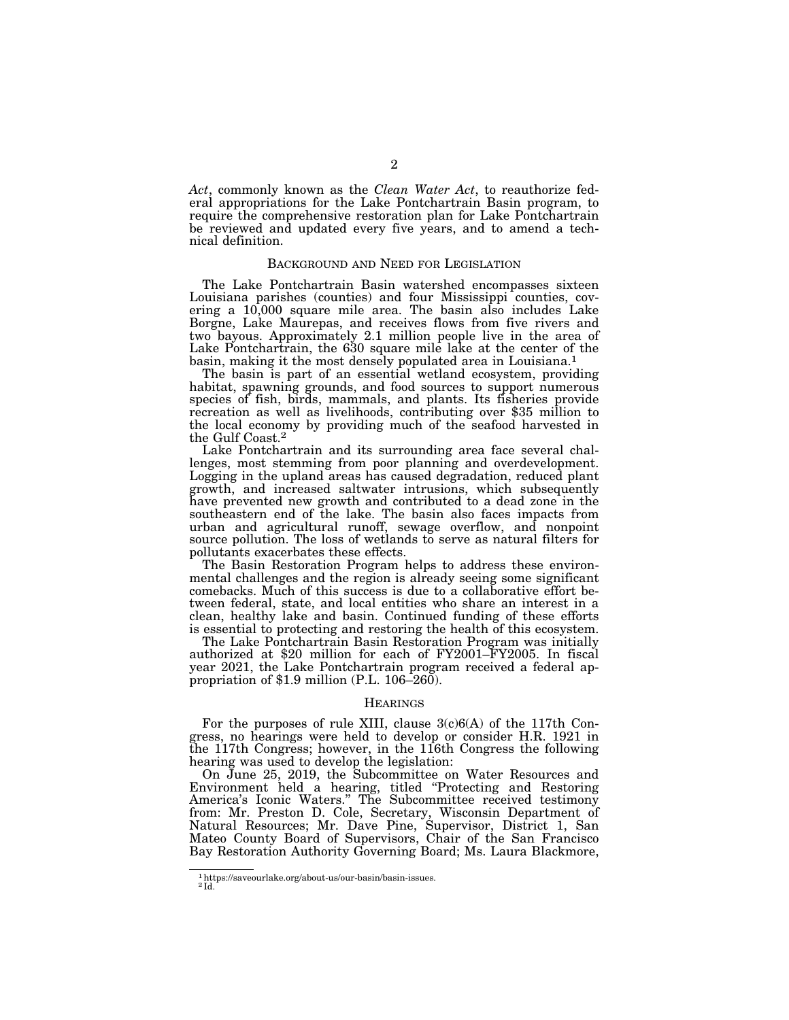*Act*, commonly known as the *Clean Water Act*, to reauthorize federal appropriations for the Lake Pontchartrain Basin program, to require the comprehensive restoration plan for Lake Pontchartrain be reviewed and updated every five years, and to amend a technical definition.

#### BACKGROUND AND NEED FOR LEGISLATION

The Lake Pontchartrain Basin watershed encompasses sixteen Louisiana parishes (counties) and four Mississippi counties, covering a 10,000 square mile area. The basin also includes Lake Borgne, Lake Maurepas, and receives flows from five rivers and two bayous. Approximately 2.1 million people live in the area of Lake Pontchartrain, the 630 square mile lake at the center of the basin, making it the most densely populated area in Louisiana.1

The basin is part of an essential wetland ecosystem, providing habitat, spawning grounds, and food sources to support numerous species of fish, birds, mammals, and plants. Its fisheries provide recreation as well as livelihoods, contributing over \$35 million to the local economy by providing much of the seafood harvested in the Gulf Coast.2

Lake Pontchartrain and its surrounding area face several challenges, most stemming from poor planning and overdevelopment. Logging in the upland areas has caused degradation, reduced plant growth, and increased saltwater intrusions, which subsequently have prevented new growth and contributed to a dead zone in the southeastern end of the lake. The basin also faces impacts from urban and agricultural runoff, sewage overflow, and nonpoint source pollution. The loss of wetlands to serve as natural filters for pollutants exacerbates these effects.

The Basin Restoration Program helps to address these environmental challenges and the region is already seeing some significant comebacks. Much of this success is due to a collaborative effort between federal, state, and local entities who share an interest in a clean, healthy lake and basin. Continued funding of these efforts is essential to protecting and restoring the health of this ecosystem.

The Lake Pontchartrain Basin Restoration Program was initially authorized at \$20 million for each of FY2001–FY2005. In fiscal year 2021, the Lake Pontchartrain program received a federal appropriation of \$1.9 million (P.L.  $106-260$ ).

#### **HEARINGS**

For the purposes of rule XIII, clause  $3(c)6(A)$  of the 117th Congress, no hearings were held to develop or consider H.R. 1921 in the 117th Congress; however, in the 116th Congress the following hearing was used to develop the legislation:

On June 25, 2019, the Subcommittee on Water Resources and Environment held a hearing, titled ''Protecting and Restoring America's Iconic Waters.'' The Subcommittee received testimony from: Mr. Preston D. Cole, Secretary, Wisconsin Department of Natural Resources; Mr. Dave Pine, Supervisor, District 1, San Mateo County Board of Supervisors, Chair of the San Francisco Bay Restoration Authority Governing Board; Ms. Laura Blackmore,

<sup>1</sup>https://saveourlake.org/about-us/our-basin/basin-issues. 2 Id.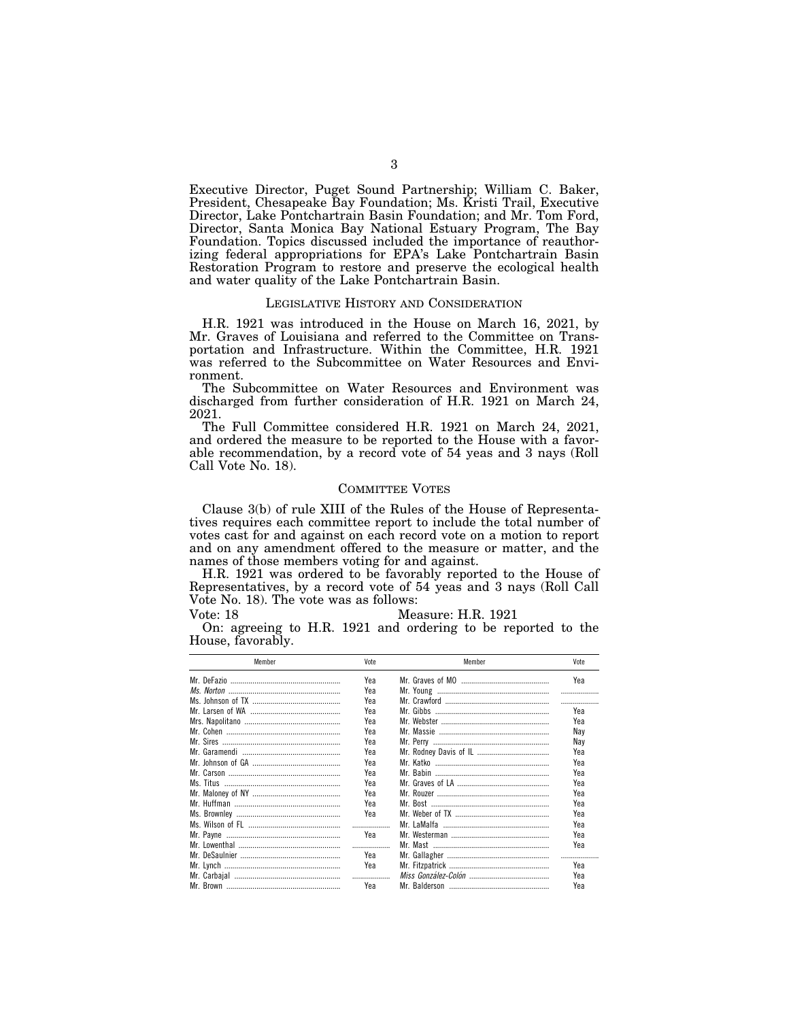Executive Director, Puget Sound Partnership; William C. Baker, President, Chesapeake Bay Foundation; Ms. Kristi Trail, Executive Director, Lake Pontchartrain Basin Foundation; and Mr. Tom Ford, Director, Santa Monica Bay National Estuary Program, The Bay Foundation. Topics discussed included the importance of reauthorizing federal appropriations for EPA's Lake Pontchartrain Basin Restoration Program to restore and preserve the ecological health and water quality of the Lake Pontchartrain Basin.

## LEGISLATIVE HISTORY AND CONSIDERATION

H.R. 1921 was introduced in the House on March 16, 2021, by Mr. Graves of Louisiana and referred to the Committee on Transportation and Infrastructure. Within the Committee, H.R. 1921 was referred to the Subcommittee on Water Resources and Environment.

The Subcommittee on Water Resources and Environment was discharged from further consideration of H.R. 1921 on March 24, 2021.

The Full Committee considered H.R. 1921 on March 24, 2021, and ordered the measure to be reported to the House with a favorable recommendation, by a record vote of 54 yeas and 3 nays (Roll Call Vote No. 18).

#### COMMITTEE VOTES

Clause 3(b) of rule XIII of the Rules of the House of Representatives requires each committee report to include the total number of votes cast for and against on each record vote on a motion to report and on any amendment offered to the measure or matter, and the names of those members voting for and against.

H.R. 1921 was ordered to be favorably reported to the House of Representatives, by a record vote of 54 yeas and 3 nays (Roll Call Vote No. 18). The vote was as follows:

Vote: 18 Measure: H.R. 1921

On: agreeing to H.R. 1921 and ordering to be reported to the House, favorably.

| Member | Vote | Member | Vote |  |
|--------|------|--------|------|--|
|        | Yea  |        | Yea  |  |
|        | Yea  |        |      |  |
|        | Yea  |        | .    |  |
|        | Yea  |        | Yea  |  |
|        | Yea  |        | Yea  |  |
|        | Yea  |        | Nav  |  |
|        | Yea  |        | Nav  |  |
|        | Yea  |        | Yea  |  |
|        | Yea  |        | Yea  |  |
|        | Yea  |        | Yea  |  |
|        | Yea  |        | Yea  |  |
|        | Yea  |        | Yea  |  |
|        | Yea  |        | Yea  |  |
|        | Yea  |        | Yea  |  |
|        |      |        | Yea  |  |
|        | Yea  |        | Yea  |  |
|        |      |        | Yea  |  |
|        | Yea  |        |      |  |
|        | Yea  |        | Yea  |  |
|        |      |        | Yea  |  |
|        | Yea  |        | Yea  |  |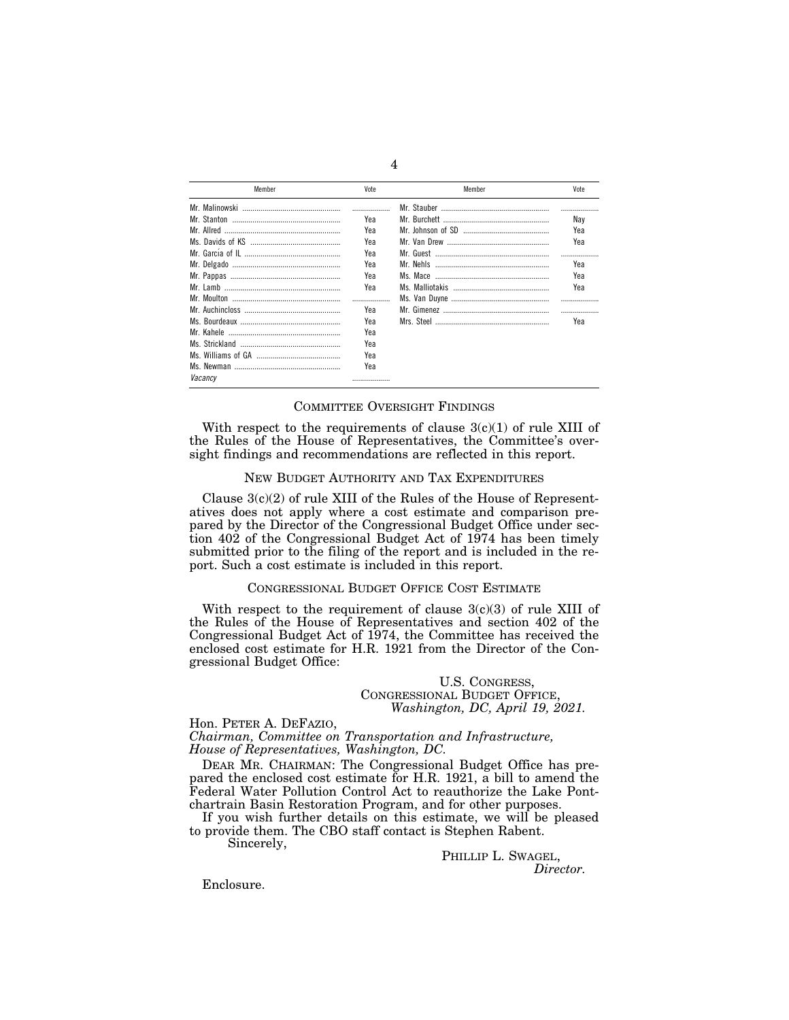| Member  | Vote | Member | Vote |  |
|---------|------|--------|------|--|
|         |      |        |      |  |
|         | Үеа  |        | Nav  |  |
|         | Yea  |        | Үеа  |  |
|         | Yea  |        | Yea  |  |
|         | Yea  |        |      |  |
|         | Yea  |        | Yea  |  |
|         | Yea  |        | Yea  |  |
|         | Yea  |        | Yea  |  |
|         |      |        |      |  |
|         | Yea  |        | .    |  |
|         | Yea  |        | Yea  |  |
|         | Yea  |        |      |  |
|         | Yea  |        |      |  |
|         | Yea  |        |      |  |
|         | Yea  |        |      |  |
| Vacancv | .    |        |      |  |

#### COMMITTEE OVERSIGHT FINDINGS

With respect to the requirements of clause  $3(c)(1)$  of rule XIII of the Rules of the House of Representatives, the Committee's oversight findings and recommendations are reflected in this report.

## NEW BUDGET AUTHORITY AND TAX EXPENDITURES

Clause  $3(c)(2)$  of rule XIII of the Rules of the House of Representatives does not apply where a cost estimate and comparison prepared by the Director of the Congressional Budget Office under section 402 of the Congressional Budget Act of 1974 has been timely submitted prior to the filing of the report and is included in the report. Such a cost estimate is included in this report.

# CONGRESSIONAL BUDGET OFFICE COST ESTIMATE

With respect to the requirement of clause  $3(c)(3)$  of rule XIII of the Rules of the House of Representatives and section 402 of the Congressional Budget Act of 1974, the Committee has received the enclosed cost estimate for H.R. 1921 from the Director of the Congressional Budget Office:

## U.S. CONGRESS, CONGRESSIONAL BUDGET OFFICE, *Washington, DC, April 19, 2021.*

#### Hon. PETER A. DEFAZIO,

*Chairman, Committee on Transportation and Infrastructure, House of Representatives, Washington, DC.* 

DEAR MR. CHAIRMAN: The Congressional Budget Office has prepared the enclosed cost estimate for H.R. 1921, a bill to amend the Federal Water Pollution Control Act to reauthorize the Lake Pontchartrain Basin Restoration Program, and for other purposes.

If you wish further details on this estimate, we will be pleased to provide them. The CBO staff contact is Stephen Rabent.

Sincerely,

PHILLIP L. SWAGEL, *Director.* 

Enclosure.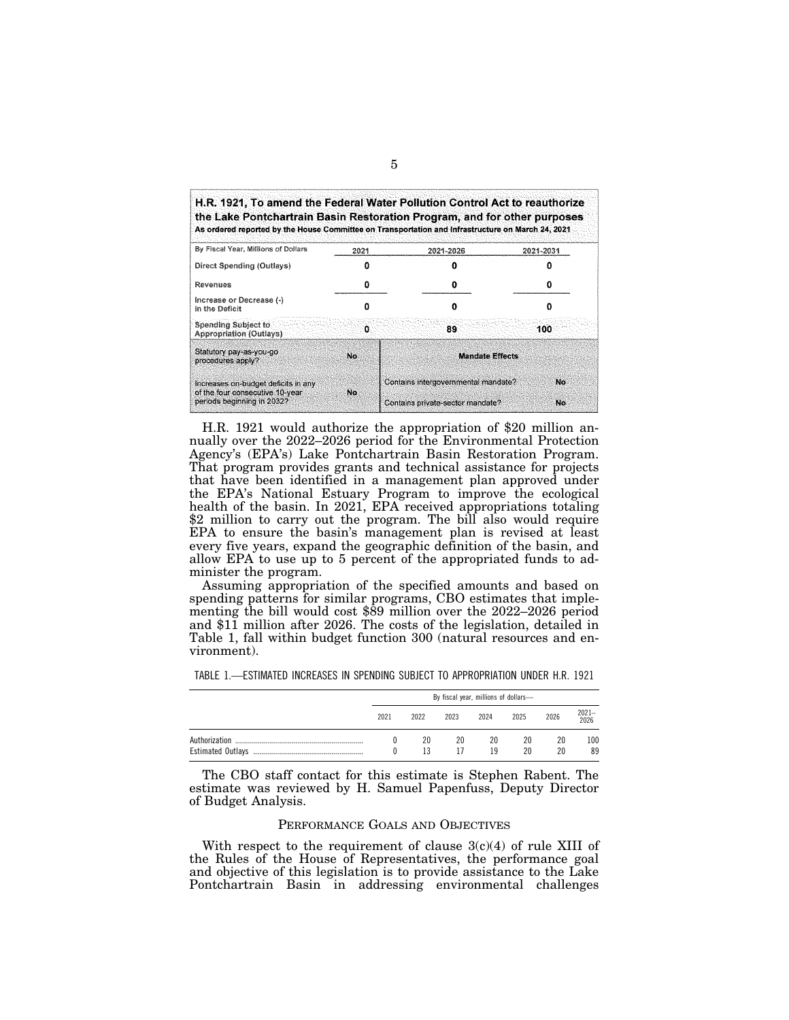| By Fiscal Year, Millions of Dollars                                    | 2021 | 2021-2026                           | 2021-2031 |
|------------------------------------------------------------------------|------|-------------------------------------|-----------|
| Direct Spending (Outlays)                                              | Ω    |                                     |           |
| Revenues                                                               | 0    | o                                   |           |
| Increase or Decrease (-)<br>in the Deficit                             |      | Ω                                   |           |
| <b>Spending Subject to</b><br><b>Appropriation (Outlays)</b>           | 0    | 89.                                 | 100       |
| Statutory pay-as-you-go<br>procedures apply?                           | No   | <b>Mandate Effects</b>              |           |
| Increases on-budget deficits in any<br>of the four consecutive 10-year | No.  | Contains intergovernmental mandate? | No.       |
| periods beginning in 2032?                                             |      | Contains private-sector mandate?    | No        |

H.R. 1921 would authorize the appropriation of \$20 million annually over the 2022–2026 period for the Environmental Protection Agency's (EPA's) Lake Pontchartrain Basin Restoration Program. That program provides grants and technical assistance for projects that have been identified in a management plan approved under the EPA's National Estuary Program to improve the ecological health of the basin. In 2021, EPA received appropriations totaling \$2 million to carry out the program. The bill also would require EPA to ensure the basin's management plan is revised at least every five years, expand the geographic definition of the basin, and allow EPA to use up to 5 percent of the appropriated funds to administer the program.

Assuming appropriation of the specified amounts and based on spending patterns for similar programs, CBO estimates that implementing the bill would cost \$89 million over the 2022–2026 period and \$11 million after 2026. The costs of the legislation, detailed in Table 1, fall within budget function 300 (natural resources and environment).

| TABLE 1.—ESTIMATED INCREASES IN SPENDING SUBJECT TO APPROPRIATION UNDER H.R. 1921 |  |  |  |
|-----------------------------------------------------------------------------------|--|--|--|
|                                                                                   |  |  |  |

|               | By fiscal year, millions of dollars- |          |          |          |          |          |           |
|---------------|--------------------------------------|----------|----------|----------|----------|----------|-----------|
|               | 2021                                 | 2022     | 2023     | 2024     | 2025     | 2026     | 2021-2026 |
| Authorization |                                      | 20<br>13 | 20<br>17 | 20<br>19 | 20<br>20 | 20<br>20 | 100<br>89 |

The CBO staff contact for this estimate is Stephen Rabent. The estimate was reviewed by H. Samuel Papenfuss, Deputy Director of Budget Analysis.

#### PERFORMANCE GOALS AND OBJECTIVES

With respect to the requirement of clause  $3(c)(4)$  of rule XIII of the Rules of the House of Representatives, the performance goal and objective of this legislation is to provide assistance to the Lake Pontchartrain Basin in addressing environmental challenges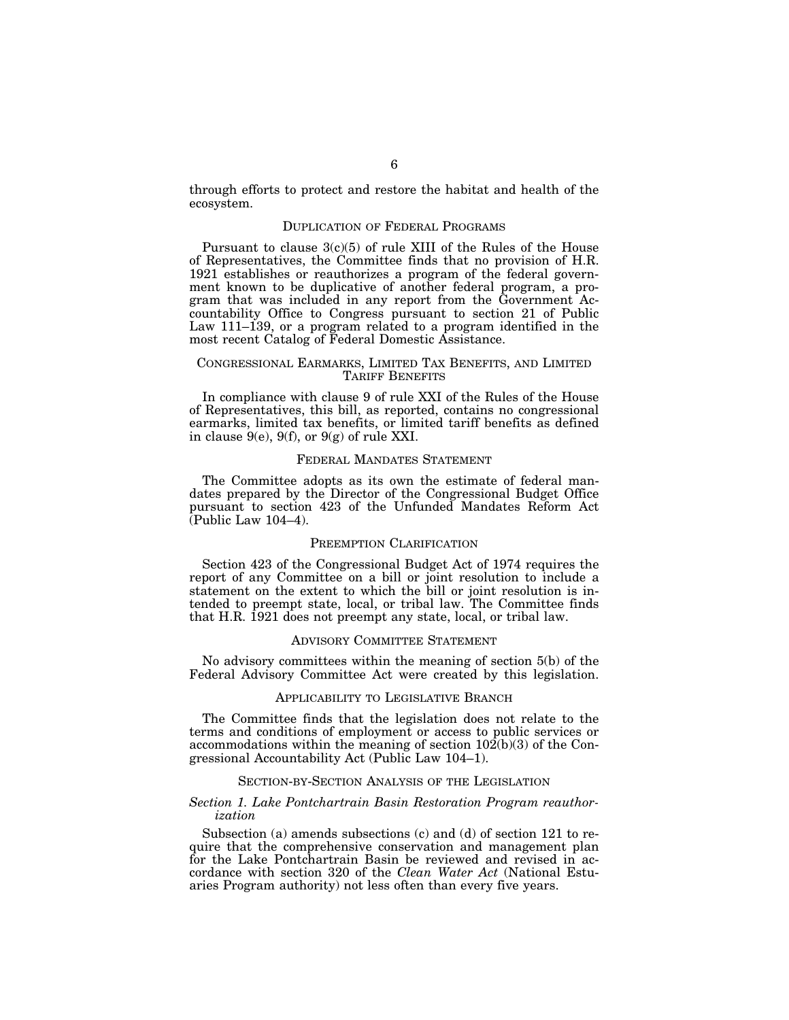through efforts to protect and restore the habitat and health of the ecosystem.

## DUPLICATION OF FEDERAL PROGRAMS

Pursuant to clause  $3(c)(5)$  of rule XIII of the Rules of the House of Representatives, the Committee finds that no provision of H.R. 1921 establishes or reauthorizes a program of the federal government known to be duplicative of another federal program, a program that was included in any report from the Government Accountability Office to Congress pursuant to section 21 of Public Law 111–139, or a program related to a program identified in the most recent Catalog of Federal Domestic Assistance.

## CONGRESSIONAL EARMARKS, LIMITED TAX BENEFITS, AND LIMITED TARIFF BENEFITS

In compliance with clause 9 of rule XXI of the Rules of the House of Representatives, this bill, as reported, contains no congressional earmarks, limited tax benefits, or limited tariff benefits as defined in clause  $9(e)$ ,  $9(f)$ , or  $9(g)$  of rule XXI.

## FEDERAL MANDATES STATEMENT

The Committee adopts as its own the estimate of federal mandates prepared by the Director of the Congressional Budget Office pursuant to section 423 of the Unfunded Mandates Reform Act  $(Public Law 104-4)$ .

#### PREEMPTION CLARIFICATION

Section 423 of the Congressional Budget Act of 1974 requires the report of any Committee on a bill or joint resolution to include a statement on the extent to which the bill or joint resolution is intended to preempt state, local, or tribal law. The Committee finds that H.R. 1921 does not preempt any state, local, or tribal law.

## ADVISORY COMMITTEE STATEMENT

No advisory committees within the meaning of section 5(b) of the Federal Advisory Committee Act were created by this legislation.

### APPLICABILITY TO LEGISLATIVE BRANCH

The Committee finds that the legislation does not relate to the terms and conditions of employment or access to public services or accommodations within the meaning of section 102(b)(3) of the Congressional Accountability Act (Public Law 104–1).

#### SECTION-BY-SECTION ANALYSIS OF THE LEGISLATION

#### *Section 1. Lake Pontchartrain Basin Restoration Program reauthorization*

Subsection (a) amends subsections (c) and (d) of section 121 to require that the comprehensive conservation and management plan for the Lake Pontchartrain Basin be reviewed and revised in accordance with section 320 of the *Clean Water Act* (National Estuaries Program authority) not less often than every five years.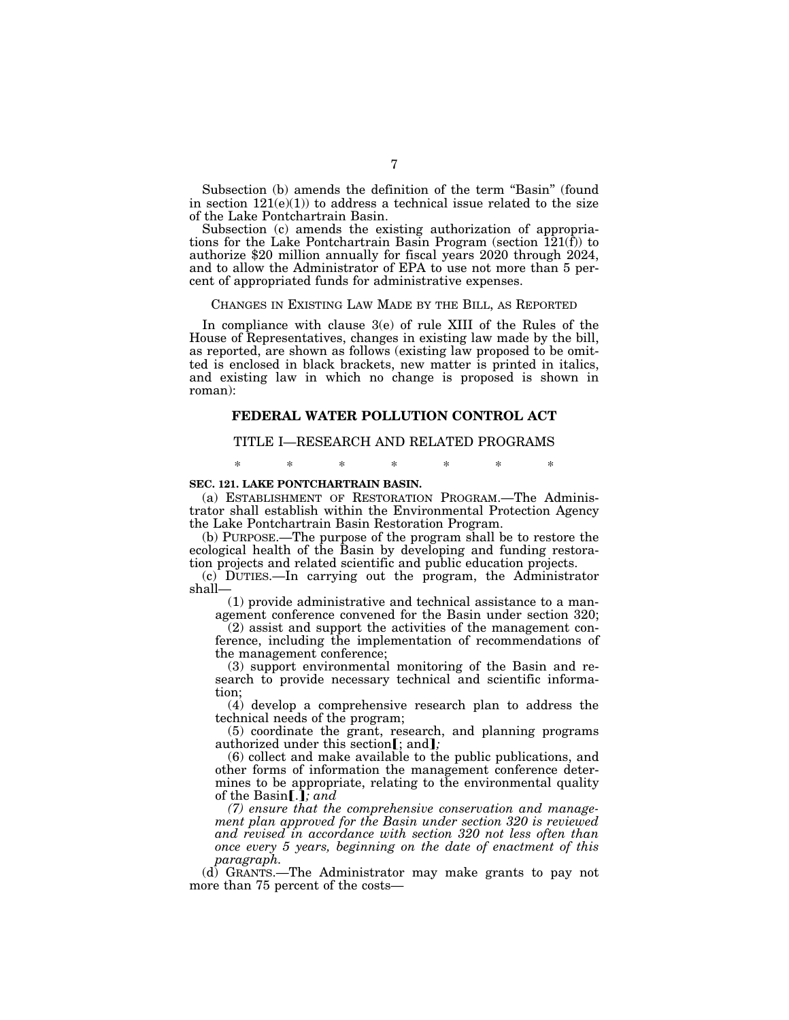Subsection (b) amends the definition of the term "Basin" (found in section  $121(e)(1)$  to address a technical issue related to the size of the Lake Pontchartrain Basin.

Subsection (c) amends the existing authorization of appropriations for the Lake Pontchartrain Basin Program (section  $\overline{12}1(\overline{f})$ ) to authorize \$20 million annually for fiscal years 2020 through 2024, and to allow the Administrator of EPA to use not more than 5 percent of appropriated funds for administrative expenses.

#### CHANGES IN EXISTING LAW MADE BY THE BILL, AS REPORTED

In compliance with clause 3(e) of rule XIII of the Rules of the House of Representatives, changes in existing law made by the bill, as reported, are shown as follows (existing law proposed to be omitted is enclosed in black brackets, new matter is printed in italics, and existing law in which no change is proposed is shown in roman):

#### **FEDERAL WATER POLLUTION CONTROL ACT**

#### TITLE I—RESEARCH AND RELATED PROGRAMS

# \* \* \* \* \* \* \* **SEC. 121. LAKE PONTCHARTRAIN BASIN.**

(a) ESTABLISHMENT OF RESTORATION PROGRAM.—The Administrator shall establish within the Environmental Protection Agency the Lake Pontchartrain Basin Restoration Program.

(b) PURPOSE.—The purpose of the program shall be to restore the ecological health of the Basin by developing and funding restoration projects and related scientific and public education projects.

(c) DUTIES.—In carrying out the program, the Administrator shall—

(1) provide administrative and technical assistance to a management conference convened for the Basin under section 320;

(2) assist and support the activities of the management conference, including the implementation of recommendations of the management conference;

(3) support environmental monitoring of the Basin and research to provide necessary technical and scientific information;

(4) develop a comprehensive research plan to address the technical needs of the program;

(5) coordinate the grant, research, and planning programs authorized under this section[; and];

(6) collect and make available to the public publications, and other forms of information the management conference determines to be appropriate, relating to the environmental quality of the Basin[.]; and

*(7) ensure that the comprehensive conservation and management plan approved for the Basin under section 320 is reviewed and revised in accordance with section 320 not less often than once every 5 years, beginning on the date of enactment of this paragraph.* 

(d) GRANTS.—The Administrator may make grants to pay not more than 75 percent of the costs—